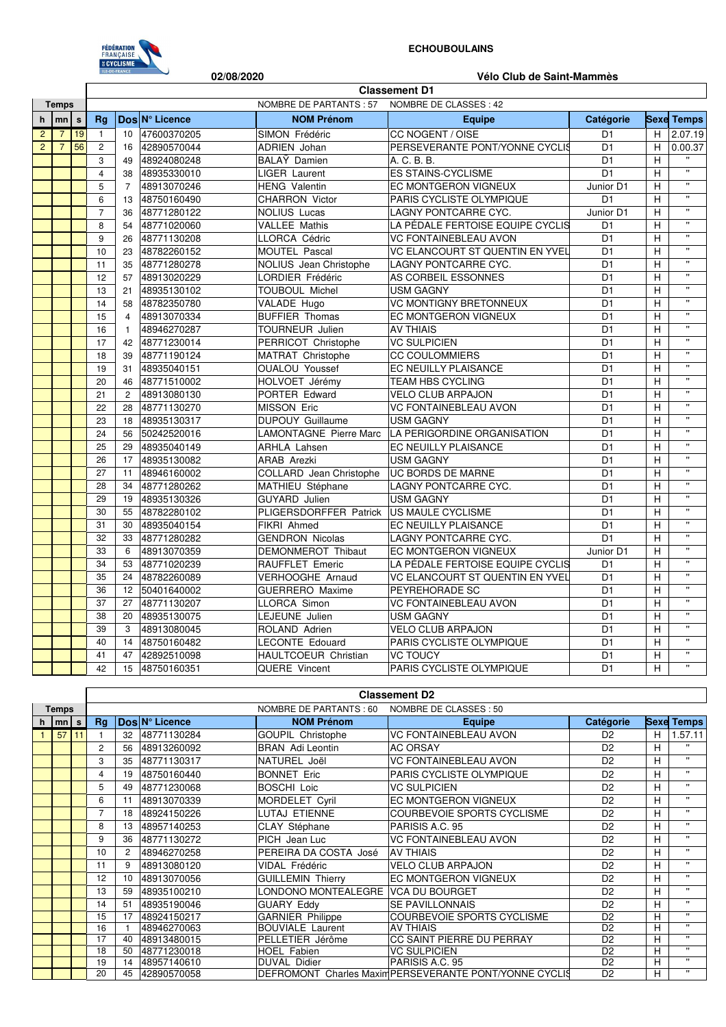

## **ECHOUBOULAINS**

|                |                |    |                                                  |                               | 02/08/2020           |                               | Vélo Club de Saint-Mammès        |                |             |                         |  |  |  |
|----------------|----------------|----|--------------------------------------------------|-------------------------------|----------------------|-------------------------------|----------------------------------|----------------|-------------|-------------------------|--|--|--|
|                |                |    | <b>Classement D1</b>                             |                               |                      |                               |                                  |                |             |                         |  |  |  |
| <b>Temps</b>   |                |    | NOMBRE DE PARTANTS: 57<br>NOMBRE DE CLASSES : 42 |                               |                      |                               |                                  |                |             |                         |  |  |  |
| h              | mn             | s  | Ra                                               | Dos N° Licence                |                      | <b>NOM Prénom</b>             | Equipe                           | Catégorie      | <b>Sexe</b> | <b>Temps</b>            |  |  |  |
| $\overline{2}$ | $\overline{7}$ | 19 | $\overline{1}$                                   | 10<br>47600370205             | SIMON Frédéric       |                               | CC NOGENT / OISE                 | D <sub>1</sub> | H           | 2.07.19                 |  |  |  |
| $\overline{2}$ | $\overline{7}$ | 56 | $\overline{c}$                                   | 16<br>42890570044             | <b>ADRIEN Johan</b>  |                               | PERSEVERANTE PONT/YONNE CYCLIS   | D <sub>1</sub> | H           | 0.00.37                 |  |  |  |
|                |                |    | 3                                                | 49<br>48924080248             | BALAY Damien         |                               | A. C. B. B.                      | D <sub>1</sub> | H           |                         |  |  |  |
|                |                |    | $\overline{4}$                                   | 48935330010<br>38             | <b>LIGER Laurent</b> |                               | <b>ES STAINS-CYCLISME</b>        | D <sub>1</sub> | H           | $\bar{\mathbf{u}}$      |  |  |  |
|                |                |    | 5                                                | 48913070246<br>$\overline{7}$ | <b>HENG Valentin</b> |                               | EC MONTGERON VIGNEUX             | Junior D1      | H           | $\mathbf{H}$            |  |  |  |
|                |                |    | 6                                                | 48750160490<br>13             |                      | <b>CHARRON Victor</b>         | PARIS CYCLISTE OLYMPIQUE         | D <sub>1</sub> | Н           | $\pmb{\mathsf{u}}$      |  |  |  |
|                |                |    | $\overline{7}$                                   | 48771280122<br>36             | <b>NOLIUS Lucas</b>  |                               | LAGNY PONTCARRE CYC.             | Junior D1      | H           | $\mathbf{H}$            |  |  |  |
|                |                |    | 8                                                | 54<br>48771020060             | <b>VALLEE Mathis</b> |                               | LA PÉDALE FERTOISE EQUIPE CYCLIS | D <sub>1</sub> | H           | $\mathbf{H}$            |  |  |  |
|                |                |    | 9                                                | 48771130208<br>26             | LLORCA Cédric        |                               | <b>VC FONTAINEBLEAU AVON</b>     | D <sub>1</sub> | H           | Ħ                       |  |  |  |
|                |                |    | 10                                               | 23<br>48782260152             |                      | MOUTEL Pascal                 | VC ELANCOURT ST QUENTIN EN YVEL  | D <sub>1</sub> | H           | $\mathbf{H}$            |  |  |  |
|                |                |    | 11                                               | 48771280278<br>35             |                      | NOLIUS Jean Christophe        | LAGNY PONTCARRE CYC.             | D <sub>1</sub> | H           | $\pmb{\mathsf{u}}$      |  |  |  |
|                |                |    | 12                                               | 48913020229<br>57             |                      | <b>LORDIER Frédéric</b>       | AS CORBEIL ESSONNES              | D <sub>1</sub> | H           | $\overline{\mathbf{u}}$ |  |  |  |
|                |                |    | 13                                               | 48935130102<br>21             |                      | <b>TOUBOUL Michel</b>         | <b>USM GAGNY</b>                 | D <sub>1</sub> | H           | $\mathbf{H}$            |  |  |  |
|                |                |    | 14                                               | 58<br>48782350780             | VALADE Hugo          |                               | <b>VC MONTIGNY BRETONNEUX</b>    | D <sub>1</sub> | H           | $\mathbf{H}$            |  |  |  |
|                |                |    | 15                                               | 48913070334<br>$\overline{4}$ |                      | <b>BUFFIER Thomas</b>         | EC MONTGERON VIGNEUX             | D <sub>1</sub> | H           | $\mathbf{H}$            |  |  |  |
|                |                |    | 16                                               | 48946270287<br>$\mathbf{1}$   |                      | TOURNEUR Julien               | <b>AV THIAIS</b>                 | D <sub>1</sub> | H           | $\mathbf{H}$            |  |  |  |
|                |                |    | 17                                               | 48771230014<br>42             |                      | PERRICOT Christophe           | <b>VC SULPICIEN</b>              | D <sub>1</sub> | H           | π                       |  |  |  |
|                |                |    | 18                                               | 39<br>48771190124             |                      | MATRAT Christophe             | <b>CC COULOMMIERS</b>            | D <sub>1</sub> | H           | π                       |  |  |  |
|                |                |    | 19                                               | 48935040151<br>31             |                      | <b>OUALOU Youssef</b>         | EC NEUILLY PLAISANCE             | D <sub>1</sub> | H           | $\mathbf{H}$            |  |  |  |
|                |                |    | 20                                               | 46<br>48771510002             |                      | HOLVOET Jérémy                | <b>TEAM HBS CYCLING</b>          | D <sub>1</sub> | H           | $\mathbf{u}$            |  |  |  |
|                |                |    | 21                                               | 48913080130<br>$\overline{2}$ |                      | PORTER Edward                 | <b>VELO CLUB ARPAJON</b>         | D <sub>1</sub> | H           | $\mathbf{H}$            |  |  |  |
|                |                |    | 22                                               | 48771130270<br>28             | <b>MISSON Eric</b>   |                               | <b>VC FONTAINEBLEAU AVON</b>     | D <sub>1</sub> | Н           | $\pmb{\mathsf{u}}$      |  |  |  |
|                |                |    | 23                                               | 18<br>48935130317             |                      | <b>DUPOUY Guillaume</b>       | <b>USM GAGNY</b>                 | D <sub>1</sub> | H           | Ħ                       |  |  |  |
|                |                |    | 24                                               | 50242520016<br>56             |                      | <b>LAMONTAGNE</b> Pierre Marc | LA PERIGORDINE ORGANISATION      | D <sub>1</sub> | H           | $\bar{\mathbf{u}}$      |  |  |  |
|                |                |    | 25                                               | 48935040149<br>29             | <b>ARHLA Lahsen</b>  |                               | EC NEUILLY PLAISANCE             | D <sub>1</sub> | H           | $\mathbf{H}$            |  |  |  |
|                |                |    | 26                                               | 48935130082<br>17             | <b>ARAB Arezki</b>   |                               | <b>USM GAGNY</b>                 | D <sub>1</sub> | H           | $\bar{\mathbf{u}}$      |  |  |  |
|                |                |    | 27                                               | 11<br>48946160002             |                      | COLLARD Jean Christophe       | UC BORDS DE MARNE                | D <sub>1</sub> | Н           | $\pmb{\mathsf{u}}$      |  |  |  |
|                |                |    | 28                                               | 48771280262<br>34             |                      | MATHIEU Stéphane              | LAGNY PONTCARRE CYC.             | D <sub>1</sub> | H           | $\mathbf{H}$            |  |  |  |
|                |                |    | 29                                               | 48935130326<br>19             | <b>GUYARD</b> Julien |                               | <b>USM GAGNY</b>                 | D <sub>1</sub> | H           | $\bar{\mathbf{u}}$      |  |  |  |
|                |                |    | 30                                               | 55<br>48782280102             |                      | PLIGERSDORFFER Patrick        | US MAULE CYCLISME                | D <sub>1</sub> | H           | $\bar{\mathbf{u}}$      |  |  |  |
|                |                |    | 31                                               | 48935040154<br>30             | <b>FIKRI Ahmed</b>   |                               | EC NEUILLY PLAISANCE             | D <sub>1</sub> | H           | $\mathbf{H}$            |  |  |  |
|                |                |    | 32                                               | 33<br>48771280282             |                      | <b>GENDRON Nicolas</b>        | LAGNY PONTCARRE CYC.             | D <sub>1</sub> | H           | Ħ                       |  |  |  |
|                |                |    | 33                                               | 6<br>48913070359              |                      | DEMONMEROT Thibaut            | EC MONTGERON VIGNEUX             | Junior D1      | H           | $\bar{\mathbf{u}}$      |  |  |  |
|                |                |    | 34                                               | 48771020239<br>53             |                      | RAUFFLET Emeric               | LA PÉDALE FERTOISE EQUIPE CYCLIS | D <sub>1</sub> | H           | $\mathbf{H}$            |  |  |  |
|                |                |    | 35                                               | 24<br>48782260089             |                      | <b>VERHOOGHE Arnaud</b>       | VC ELANCOURT ST QUENTIN EN YVEL  | D <sub>1</sub> | H           | $\mathbf{H}$            |  |  |  |
|                |                |    | 36                                               | 12<br>50401640002             |                      | <b>GUERRERO</b> Maxime        | PEYREHORADE SC                   | D <sub>1</sub> | H           | $\mathbf{H}$            |  |  |  |
|                |                |    | 37                                               | 27<br>48771130207             | LLORCA Simon         |                               | <b>VC FONTAINEBLEAU AVON</b>     | D <sub>1</sub> | H           | $\bar{\mathbf{u}}$      |  |  |  |
|                |                |    | 38                                               | 20<br>48935130075             |                      | LEJEUNE Julien                | <b>USM GAGNY</b>                 | D <sub>1</sub> | H           | $\mathbf{H}$            |  |  |  |
|                |                |    | 39                                               | 3<br>48913080045              |                      | ROLAND Adrien                 | <b>VELO CLUB ARPAJON</b>         | D <sub>1</sub> | H           | $\mathbf{u}$            |  |  |  |
|                |                |    | 40                                               | 14<br>48750160482             |                      | <b>LECONTE Edouard</b>        | PARIS CYCLISTE OLYMPIQUE         | D <sub>1</sub> | Н           | $\pmb{\mathsf{u}}$      |  |  |  |
|                |                |    | 41                                               | 42892510098<br>47             |                      | <b>HAULTCOEUR Christian</b>   | <b>VC TOUCY</b>                  | D <sub>1</sub> | H           | $\overline{\mathbf{u}}$ |  |  |  |
|                |                |    | 42                                               | 15 48750160351                | QUERE Vincent        |                               | PARIS CYCLISTE OLYMPIQUE         | D <sub>1</sub> | H.          | $\mathbf{H}$            |  |  |  |

|       |          | <b>Classement D2</b> |    |    |                        |                          |                                                        |                |             |              |
|-------|----------|----------------------|----|----|------------------------|--------------------------|--------------------------------------------------------|----------------|-------------|--------------|
| Temps |          |                      |    |    | NOMBRE DE PARTANTS: 60 | NOMBRE DE CLASSES : 50   |                                                        |                |             |              |
|       | $h$   mn | s                    | Rq |    | DosIN° Licence         | <b>NOM Prénom</b>        | <b>Equipe</b>                                          | Catégorie      | <b>Sexe</b> | <b>Temps</b> |
|       | 57       | 11                   |    | 32 | 48771130284            | <b>GOUPIL Christophe</b> | VC FONTAINEBLEAU AVON                                  | D <sub>2</sub> | н           | .57.11       |
|       |          |                      | 2  | 56 | 48913260092            | <b>BRAN</b> Adi Leontin  | <b>AC ORSAY</b>                                        | D <sub>2</sub> | н           | $\cdots$     |
|       |          |                      | 3  | 35 | 48771130317            | NATUREL Joël             | <b>VC FONTAINEBLEAU AVON</b>                           | D <sub>2</sub> | н           | $\mathbf{H}$ |
|       |          |                      | 4  | 19 | 48750160440            | <b>BONNET Eric</b>       | PARIS CYCLISTE OLYMPIQUE                               | D <sub>2</sub> | н           | $\mathbf{u}$ |
|       |          |                      | 5  | 49 | 48771230068            | <b>BOSCHI Loic</b>       | <b>VC SULPICIEN</b>                                    | D <sub>2</sub> | н           | $\cdots$     |
|       |          |                      | 6  | 11 | 48913070339            | MORDELET Cyril           | <b>EC MONTGERON VIGNEUX</b>                            | D <sub>2</sub> | н           | $\mathbf{H}$ |
|       |          |                      | 7  | 18 | 48924150226            | LUTAJ ETIENNE            | <b>COURBEVOIE SPORTS CYCLISME</b>                      | D <sub>2</sub> | н           | $\mathbf{H}$ |
|       |          |                      | 8  | 13 | 48957140253            | CLAY Stéphane            | PARISIS A.C. 95                                        | D <sub>2</sub> | н           | $\mathbf{H}$ |
|       |          |                      | 9  | 36 | 48771130272            | PICH Jean Luc            | <b>VC FONTAINEBLEAU AVON</b>                           | D <sub>2</sub> | н           | $\mathbf{H}$ |
|       |          |                      | 10 | 2  | 48946270258            | PEREIRA DA COSTA José    | <b>AV THIAIS</b>                                       | D <sub>2</sub> | H           | $\mathbf{u}$ |
|       |          |                      | 11 | 9  | 48913080120            | VIDAL Frédéric           | <b>VELO CLUB ARPAJON</b>                               | D <sub>2</sub> | н           | $\mathbf{u}$ |
|       |          |                      | 12 | 10 | 48913070056            | <b>GUILLEMIN Thierry</b> | <b>EC MONTGERON VIGNEUX</b>                            | D <sub>2</sub> | Н           | $\mathbf{H}$ |
|       |          |                      | 13 | 59 | 48935100210            | LONDONO MONTEALEGRE      | <b>VCA DU BOURGET</b>                                  | D <sub>2</sub> | H           | $\mathbf{H}$ |
|       |          |                      | 14 | 51 | 48935190046            | <b>GUARY Eddy</b>        | <b>SE PAVILLONNAIS</b>                                 | D <sub>2</sub> | н           | $\mathbf{H}$ |
|       |          |                      | 15 | 17 | 48924150217            | <b>GARNIER Philippe</b>  | <b>COURBEVOIE SPORTS CYCLISME</b>                      | D <sub>2</sub> | H           | $\mathbf{H}$ |
|       |          |                      | 16 |    | 48946270063            | <b>BOUVIALE Laurent</b>  | <b>AV THIAIS</b>                                       | D <sub>2</sub> | н           | $\mathbf{u}$ |
|       |          |                      | 17 | 40 | 48913480015            | PELLETIER Jérôme         | CC SAINT PIERRE DU PERRAY                              | D <sub>2</sub> | Н           | $\mathbf{H}$ |
|       |          |                      | 18 | 50 | 48771230018            | HOEL Fabien              | <b>VC SULPICIEN</b>                                    | D <sub>2</sub> | Н           | $\mathbf{H}$ |
|       |          |                      | 19 | 14 | 48957140610            | <b>DUVAL Didier</b>      | PARISIS A.C. 95                                        | D <sub>2</sub> | н           | $\mathbf{H}$ |
|       |          |                      | 20 | 45 | 42890570058            |                          | DEFROMONT Charles Maxim PERSEVERANTE PONT/YONNE CYCLIS | D <sub>2</sub> | H           | $\mathbf{H}$ |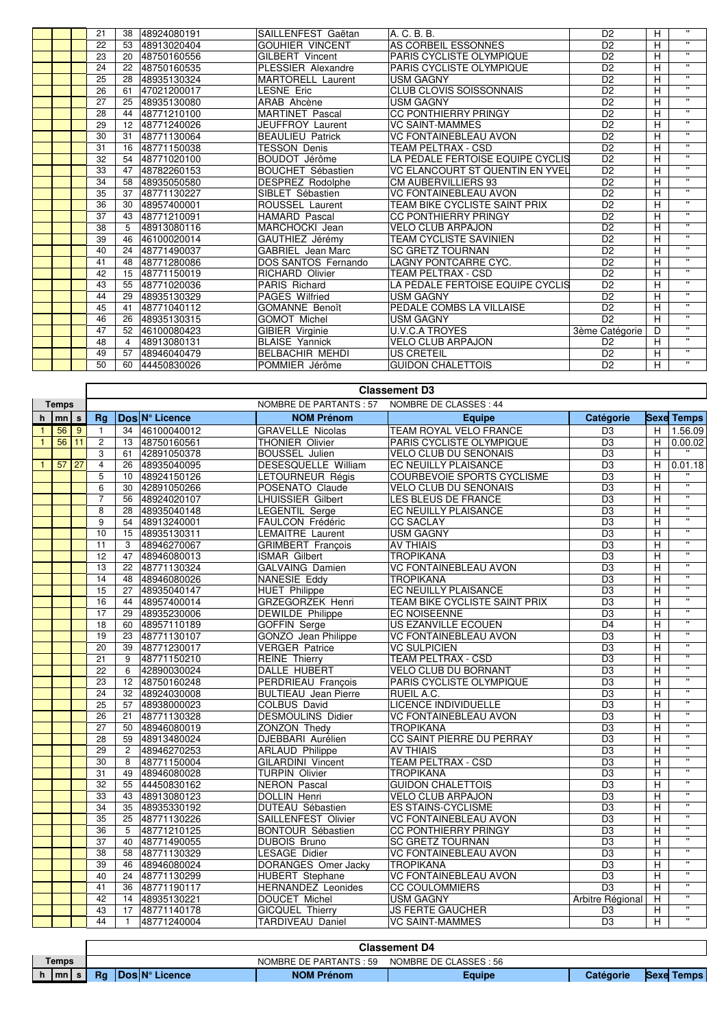|  | 21 |                | 38 48924080191 | SAILLENFEST Gaëtan       | A. C. B. B.                            | D <sub>2</sub> | H | $\mathbf{u}$     |
|--|----|----------------|----------------|--------------------------|----------------------------------------|----------------|---|------------------|
|  | 22 | 53             | 48913020404    | <b>GOUHIER VINCENT</b>   | AS CORBEIL ESSONNES                    | D <sub>2</sub> | H | $\mathbf{u}$     |
|  | 23 | 20             | 48750160556    | <b>GILBERT Vincent</b>   | PARIS CYCLISTE OLYMPIQUE               | D <sub>2</sub> | H | $\mathbf{u}$     |
|  | 24 | 22             | 48750160535    | PLESSIER Alexandre       | PARIS CYCLISTE OLYMPIQUE               | D <sub>2</sub> | H | $\mathbf{H}$     |
|  | 25 | 28             | 48935130324    | <b>MARTORELL Laurent</b> | <b>USM GAGNY</b>                       | D <sub>2</sub> | H | $\mathbf{H}$     |
|  | 26 | 61             | 47021200017    | LESNE Eric               | <b>CLUB CLOVIS SOISSONNAIS</b>         | D <sub>2</sub> | H | $\mathbf{u}$     |
|  | 27 | 25             | 48935130080    | ARAB Ahcène              | <b>USM GAGNY</b>                       | D <sub>2</sub> | H | $\mathbf{H}$     |
|  | 28 | 44             | 48771210100    | <b>MARTINET Pascal</b>   | <b>CC PONTHIERRY PRINGY</b>            | D <sub>2</sub> | H | $\mathbf{H}$     |
|  | 29 |                | 12 48771240026 | JEUFFROY Laurent         | <b>VC SAINT-MAMMES</b>                 | D <sub>2</sub> | H | $\mathbf{H}$     |
|  | 30 | 31             | 48771130064    | <b>BEAULIEU Patrick</b>  | <b>VC FONTAINEBLEAU AVON</b>           | D <sub>2</sub> | H | $\mathbf{u}$     |
|  | 31 | 16             | 48771150038    | <b>TESSON Denis</b>      | TEAM PELTRAX - CSD                     | D <sub>2</sub> | H | $\mathbf{H}$     |
|  | 32 | 54             | 48771020100    | BOUDOT Jérôme            | LA PÉDALE FERTOISE EQUIPE CYCLIS       | D <sub>2</sub> | H | $\mathbf{H}$     |
|  | 33 | 47             | 48782260153    | <b>BOUCHET Sébastien</b> | <b>VC ELANCOURT ST QUENTIN EN YVEL</b> | D <sub>2</sub> | H | $\mathbf{H}$     |
|  | 34 | 58             | 48935050580    | DESPREZ Rodolphe         | CM AUBERVILLIERS 93                    | D <sub>2</sub> | H | $\mathbf{u}$     |
|  | 35 | 37             | 48771130227    | SIBLET Sébastien         | <b>VC FONTAINEBLEAU AVON</b>           | D <sub>2</sub> | H | $\mathbf{u}$     |
|  | 36 | 30             | 48957400001    | ROUSSEL Laurent          | TEAM BIKE CYCLISTE SAINT PRIX          | D <sub>2</sub> | H | $\mathbf{u}$     |
|  | 37 | 43             | 48771210091    | <b>HAMARD Pascal</b>     | <b>CC PONTHIERRY PRINGY</b>            | D <sub>2</sub> | H | $\mathbf{H}$     |
|  | 38 | 5              | 48913080116    | MARCHOCKI Jean           | <b>VELO CLUB ARPAJON</b>               | D <sub>2</sub> | H | $\mathbf{H}$     |
|  | 39 | 46             | 46100020014    | GAUTHIEZ Jérémy          | <b>TEAM CYCLISTE SAVINIEN</b>          | D <sub>2</sub> | H | $\mathbf{H}$     |
|  | 40 | 24             | 48771490037    | <b>GABRIEL Jean Marc</b> | <b>SC GRETZ TOURNAN</b>                | D <sub>2</sub> | H | $\mathbf{H}$     |
|  | 41 | 48             | 48771280086    | DOS SANTOS Fernando      | LAGNY PONTCARRE CYC.                   | D <sub>2</sub> | H | $\mathbf{H}$     |
|  | 42 | 15             | 48771150019    | <b>RICHARD Olivier</b>   | <b>TEAM PELTRAX - CSD</b>              | D <sub>2</sub> | H | $\mathbf{H}$     |
|  | 43 |                | 55 48771020036 | <b>PARIS Richard</b>     | LA PÉDALE FERTOISE EQUIPE CYCLIS       | D <sub>2</sub> | H | $\mathbf{u}$     |
|  | 44 | 29             | 48935130329    | <b>PAGES Wilfried</b>    | <b>USM GAGNY</b>                       | D <sub>2</sub> | H | $\mathbf{H}$     |
|  | 45 | 41             | 48771040112    | <b>GOMANNE Benoît</b>    | PEDALE COMBS LA VILLAISE               | D <sub>2</sub> | H | $\mathbf{H}$     |
|  | 46 | 26             | 48935130315    | <b>GOMOT Michel</b>      | <b>USM GAGNY</b>                       | D <sub>2</sub> | H | $\bullet\bullet$ |
|  | 47 |                | 52 46100080423 | GIBIER Virginie          | <b>U.V.C.A TROYES</b>                  | 3ème Catégorie | D | $\mathbf{H}$     |
|  | 48 | $\overline{4}$ | 48913080131    | <b>BLAISE Yannick</b>    | <b>VELO CLUB ARPAJON</b>               | D <sub>2</sub> | H | $\bullet\bullet$ |
|  | 49 | 57             | 48946040479    | <b>BELBACHIR MEHDI</b>   | <b>US CRETEIL</b>                      | D <sub>2</sub> | H | $\mathbf{u}$     |
|  | 50 |                | 60 44450830026 | POMMIER Jérôme           | <b>GUIDON CHALETTOIS</b>               | D <sub>2</sub> | H | $\mathbf{u}$     |

| <b>NOMBRE DE PARTANTS: 57</b><br>NOMBRE DE CLASSES : 44<br><b>Temps</b><br>Dos N° Licence<br><b>NOM Prénom</b><br>Catégorie<br>$mn \mid s$<br>Ra<br><b>Sexe</b> Temps<br>h<br><b>Equipe</b><br><b>TEAM ROYAL VELO FRANCE</b><br>34<br>46100040012<br><b>GRAVELLE Nicolas</b><br>H<br>1.56.09<br>56<br>$\overline{9}$<br>D <sub>3</sub><br>$\mathbf{1}$<br>$\mathbf{1}$<br>56<br>11<br>D <sub>3</sub><br>$\overline{c}$<br>13<br>48750160561<br><b>THONIER Olivier</b><br>PARIS CYCLISTE OLYMPIQUE<br>$\overline{H}$<br>0.00.02<br>$\mathbf{1}$<br>3<br>VELO CLUB DU SENONAIS<br>D <sub>3</sub><br>H<br>61<br>42891050378<br><b>BOUSSEL Julien</b><br>$\overline{4}$<br>DESESQUELLE William<br>D <sub>3</sub><br>57<br>27<br>26<br>48935040095<br>EC NEUILLY PLAISANCE<br>H<br>0.01.18<br>$\mathbf{1}$<br><b>COURBEVOIE SPORTS CYCLISME</b><br>$\overline{D3}$<br>5<br>48924150126<br>LETOURNEUR Régis<br>H<br>10<br>$\overline{u}$<br>6<br><b>VELO CLUB DU SENONAIS</b><br>D <sub>3</sub><br>H<br>30<br>42891050266<br>POSENATO Claude<br>$\overline{\mathbf{u}}$<br>$\overline{7}$<br>56 48924020107<br><b>LHUISSIER Gilbert</b><br>D <sub>3</sub><br>H<br>LES BLEUS DE FRANCE<br>$\overline{u}$<br>8<br>28<br>48935040148<br><b>LEGENTIL Serge</b><br>EC NEUILLY PLAISANCE<br>D <sub>3</sub><br>H<br>$\overline{\mathbf{u}}$<br>9<br>D <sub>3</sub><br>48913240001<br>FAULCON Frédéric<br><b>CC SACLAY</b><br>H<br>54<br>$\overline{\mathbf{u}}$<br>10<br>48935130311<br><b>LEMAITRE Laurent</b><br><b>USM GAGNY</b><br>D <sub>3</sub><br>H<br>15<br>$\overline{\mathbf{u}}$<br>D <sub>3</sub><br>11<br>3<br>48946270067<br><b>GRIMBERT</b> François<br><b>AV THIAIS</b><br>H<br>$\mathbf{H}$<br>12<br>D <sub>3</sub><br>47<br>48946080013<br><b>ISMAR Gilbert</b><br><b>TROPIKANA</b><br>H<br>π<br>13<br>22<br>48771130324<br>GALVAING Damien<br><b>VC FONTAINEBLEAU AVON</b><br>D <sub>3</sub><br>H<br>$\overline{\mathbf{u}}$<br>D <sub>3</sub><br>14<br><b>NANESIE Eddy</b><br><b>TROPIKANA</b><br>48<br>48946080026<br>H<br>$\boldsymbol{\mathsf{H}}$<br>15<br>EC NEUILLY PLAISANCE<br>D <sub>3</sub><br>27<br>48935040147<br><b>HUET Philippe</b><br>н<br>$\overline{\mathbf{u}}$<br>GRZEGORZEK Henri<br>$\overline{D3}$<br>16<br>48957400014<br>TEAM BIKE CYCLISTE SAINT PRIX<br>H<br>44<br>π<br>$\overline{D3}$<br>48935230006<br><b>DEWILDE Philippe</b><br><b>EC NOISEENNE</b><br>H<br>17<br>29<br>π<br>US EZANVILLE ECOUEN<br>$\overline{D4}$<br>18<br>48957110189<br><b>GOFFIN Serge</b><br>H<br>60<br>GONZO Jean Philippe<br><b>VC FONTAINEBLEAU AVON</b><br>$\overline{D3}$<br>$\mathbf{u}$<br>19<br>23<br>48771130107<br>н<br>$\overline{\mathbf{u}}$<br>20<br><b>VERGER Patrice</b><br>D <sub>3</sub><br>39<br>48771230017<br><b>VC SULPICIEN</b><br>H<br>$\overline{\mathbf{u}}$<br>D <sub>3</sub><br>21<br>9<br>48771150210<br><b>REINE Thierry</b><br><b>TEAM PELTRAX - CSD</b><br>H<br>π<br>$\overline{22}$<br>6<br>42890030024<br>DALLE HUBERT<br><b>VELO CLUB DU BORNANT</b><br>$\overline{D3}$<br>н<br>π<br>$\overline{D3}$<br>23<br>12<br>48750160248<br>PERDRIEAU François<br>PARIS CYCLISTE OLYMPIQUE<br>H<br>$\overline{\mathbf{u}}$<br><b>RUEIL A.C.</b><br>D <sub>3</sub><br>24<br>48924030008<br><b>BULTIEAU</b> Jean Pierre<br>H<br>32<br>π<br>25<br>48938000023<br><b>LICENCE INDIVIDUELLE</b><br>$\overline{D3}$<br>57<br>COLBUS David<br>H<br>π<br>$\overline{26}$<br><b>DESMOULINS Didier</b><br><b>VC FONTAINEBLEAU AVON</b><br>$\overline{D3}$<br>H<br>21<br>48771130328<br>$\overline{\mathbf{u}}$<br>27<br>D <sub>3</sub><br>50<br>48946080019<br><b>ZONZON Thedy</b><br><b>TROPIKANA</b><br>н<br>$\overline{\mathbf{u}}$<br>28<br>48913480024<br>DJEBBARI Aurélien<br>CC SAINT PIERRE DU PERRAY<br>$\overline{D3}$<br>H<br>59<br>π<br>29<br>$\overline{2}$<br>48946270253<br><b>ARLAUD Philippe</b><br><b>AV THIAIS</b><br>$\overline{D3}$<br>H<br>$\overline{\mathbf{u}}$<br>$\overline{30}$<br><b>TEAM PELTRAX - CSD</b><br>$\overline{D3}$<br>8<br>48771150004<br><b>GILARDINI Vincent</b><br>H<br>π<br><b>TURPIN Olivier</b><br>D <sub>3</sub><br>31<br>49<br>48946080028<br><b>TROPIKANA</b><br>H<br>π<br>32<br><b>NERON Pascal</b><br><b>GUIDON CHALETTOIS</b><br>$\overline{D3}$<br>$\overline{H}$<br>55<br>44450830162<br>$\overline{\mathbf{u}}$<br>33<br>43 48913080123<br>DOLLIN Henri<br><b>VELO CLUB ARPAJON</b><br>D <sub>3</sub><br>H<br>$\overline{u}$<br>34<br>35<br>48935330192<br>DUTEAU Sébastien<br><b>ES STAINS-CYCLISME</b><br>D <sub>3</sub><br>H<br>D <sub>3</sub><br>$\mathbf{H}$<br>35<br>25<br>48771130226<br>SAILLENFEST Olivier<br><b>VC FONTAINEBLEAU AVON</b><br>H<br>$\overline{\mathbf{u}}$<br>36<br>5<br>48771210125<br>CC PONTHIERRY PRINGY<br>D <sub>3</sub><br>H<br><b>BONTOUR Sébastien</b><br>$\overline{\mathbf{u}}$<br>D <sub>3</sub><br>37<br>40<br>48771490055<br><b>DUBOIS Bruno</b><br><b>SC GRETZ TOURNAN</b><br>H<br>$\overline{u}$<br><b>LESAGE Didier</b><br>$\overline{D3}$<br>38<br>58<br>48771130329<br>VC FONTAINEBLEAU AVON<br>H<br>π<br>39<br>46<br>DORANGES Omer Jacky<br><b>TROPIKANA</b><br>D <sub>3</sub><br>48946080024<br>H<br>$\overline{\mathbf{u}}$<br>D <sub>3</sub><br>40<br><b>VC FONTAINEBLEAU AVON</b><br>24<br>48771130299<br>HUBERT Stephane<br>H<br>$\mathbf{H}$<br>D <sub>3</sub><br>41<br>36<br>48771190117<br><b>HERNANDEZ Leonides</b><br><b>CC COULOMMIERS</b><br>н<br>$\overline{\mathbf{u}}$<br>42<br>DOUCET Michel<br><b>USM GAGNY</b><br>Arbitre Régional<br>H<br>14<br>48935130221<br>π<br>43<br><b>GICQUEL Thierry</b><br><b>JS FERTE GAUCHER</b><br>H<br>17<br>48771140178<br>D <sub>3</sub> |  |  |  | <b>Classement D3</b> |  |  |
|-----------------------------------------------------------------------------------------------------------------------------------------------------------------------------------------------------------------------------------------------------------------------------------------------------------------------------------------------------------------------------------------------------------------------------------------------------------------------------------------------------------------------------------------------------------------------------------------------------------------------------------------------------------------------------------------------------------------------------------------------------------------------------------------------------------------------------------------------------------------------------------------------------------------------------------------------------------------------------------------------------------------------------------------------------------------------------------------------------------------------------------------------------------------------------------------------------------------------------------------------------------------------------------------------------------------------------------------------------------------------------------------------------------------------------------------------------------------------------------------------------------------------------------------------------------------------------------------------------------------------------------------------------------------------------------------------------------------------------------------------------------------------------------------------------------------------------------------------------------------------------------------------------------------------------------------------------------------------------------------------------------------------------------------------------------------------------------------------------------------------------------------------------------------------------------------------------------------------------------------------------------------------------------------------------------------------------------------------------------------------------------------------------------------------------------------------------------------------------------------------------------------------------------------------------------------------------------------------------------------------------------------------------------------------------------------------------------------------------------------------------------------------------------------------------------------------------------------------------------------------------------------------------------------------------------------------------------------------------------------------------------------------------------------------------------------------------------------------------------------------------------------------------------------------------------------------------------------------------------------------------------------------------------------------------------------------------------------------------------------------------------------------------------------------------------------------------------------------------------------------------------------------------------------------------------------------------------------------------------------------------------------------------------------------------------------------------------------------------------------------------------------------------------------------------------------------------------------------------------------------------------------------------------------------------------------------------------------------------------------------------------------------------------------------------------------------------------------------------------------------------------------------------------------------------------------------------------------------------------------------------------------------------------------------------------------------------------------------------------------------------------------------------------------------------------------------------------------------------------------------------------------------------------------------------------------------------------------------------------------------------------------------------------------------------------------------------------------------------------------------------------------------------------------------------------------------------------------------------------------------------------------------------------------------------------------------------------------------------------------------------------------------------------------------------------------------------------------------------------------------------------------------------------------------------------------------------------------------------------------------------------------------------------------------------------------------------------------------------------------------------------------------------------------------------------------------------------------------------------------------------------------------------------------------------------------------------------------------------------------------------|--|--|--|----------------------|--|--|
|                                                                                                                                                                                                                                                                                                                                                                                                                                                                                                                                                                                                                                                                                                                                                                                                                                                                                                                                                                                                                                                                                                                                                                                                                                                                                                                                                                                                                                                                                                                                                                                                                                                                                                                                                                                                                                                                                                                                                                                                                                                                                                                                                                                                                                                                                                                                                                                                                                                                                                                                                                                                                                                                                                                                                                                                                                                                                                                                                                                                                                                                                                                                                                                                                                                                                                                                                                                                                                                                                                                                                                                                                                                                                                                                                                                                                                                                                                                                                                                                                                                                                                                                                                                                                                                                                                                                                                                                                                                                                                                                                                                                                                                                                                                                                                                                                                                                                                                                                                                                                                                                                                                                                                                                                                                                                                                                                                                                                                                                                                                                                                                                                             |  |  |  |                      |  |  |
|                                                                                                                                                                                                                                                                                                                                                                                                                                                                                                                                                                                                                                                                                                                                                                                                                                                                                                                                                                                                                                                                                                                                                                                                                                                                                                                                                                                                                                                                                                                                                                                                                                                                                                                                                                                                                                                                                                                                                                                                                                                                                                                                                                                                                                                                                                                                                                                                                                                                                                                                                                                                                                                                                                                                                                                                                                                                                                                                                                                                                                                                                                                                                                                                                                                                                                                                                                                                                                                                                                                                                                                                                                                                                                                                                                                                                                                                                                                                                                                                                                                                                                                                                                                                                                                                                                                                                                                                                                                                                                                                                                                                                                                                                                                                                                                                                                                                                                                                                                                                                                                                                                                                                                                                                                                                                                                                                                                                                                                                                                                                                                                                                             |  |  |  |                      |  |  |
|                                                                                                                                                                                                                                                                                                                                                                                                                                                                                                                                                                                                                                                                                                                                                                                                                                                                                                                                                                                                                                                                                                                                                                                                                                                                                                                                                                                                                                                                                                                                                                                                                                                                                                                                                                                                                                                                                                                                                                                                                                                                                                                                                                                                                                                                                                                                                                                                                                                                                                                                                                                                                                                                                                                                                                                                                                                                                                                                                                                                                                                                                                                                                                                                                                                                                                                                                                                                                                                                                                                                                                                                                                                                                                                                                                                                                                                                                                                                                                                                                                                                                                                                                                                                                                                                                                                                                                                                                                                                                                                                                                                                                                                                                                                                                                                                                                                                                                                                                                                                                                                                                                                                                                                                                                                                                                                                                                                                                                                                                                                                                                                                                             |  |  |  |                      |  |  |
|                                                                                                                                                                                                                                                                                                                                                                                                                                                                                                                                                                                                                                                                                                                                                                                                                                                                                                                                                                                                                                                                                                                                                                                                                                                                                                                                                                                                                                                                                                                                                                                                                                                                                                                                                                                                                                                                                                                                                                                                                                                                                                                                                                                                                                                                                                                                                                                                                                                                                                                                                                                                                                                                                                                                                                                                                                                                                                                                                                                                                                                                                                                                                                                                                                                                                                                                                                                                                                                                                                                                                                                                                                                                                                                                                                                                                                                                                                                                                                                                                                                                                                                                                                                                                                                                                                                                                                                                                                                                                                                                                                                                                                                                                                                                                                                                                                                                                                                                                                                                                                                                                                                                                                                                                                                                                                                                                                                                                                                                                                                                                                                                                             |  |  |  |                      |  |  |
|                                                                                                                                                                                                                                                                                                                                                                                                                                                                                                                                                                                                                                                                                                                                                                                                                                                                                                                                                                                                                                                                                                                                                                                                                                                                                                                                                                                                                                                                                                                                                                                                                                                                                                                                                                                                                                                                                                                                                                                                                                                                                                                                                                                                                                                                                                                                                                                                                                                                                                                                                                                                                                                                                                                                                                                                                                                                                                                                                                                                                                                                                                                                                                                                                                                                                                                                                                                                                                                                                                                                                                                                                                                                                                                                                                                                                                                                                                                                                                                                                                                                                                                                                                                                                                                                                                                                                                                                                                                                                                                                                                                                                                                                                                                                                                                                                                                                                                                                                                                                                                                                                                                                                                                                                                                                                                                                                                                                                                                                                                                                                                                                                             |  |  |  |                      |  |  |
|                                                                                                                                                                                                                                                                                                                                                                                                                                                                                                                                                                                                                                                                                                                                                                                                                                                                                                                                                                                                                                                                                                                                                                                                                                                                                                                                                                                                                                                                                                                                                                                                                                                                                                                                                                                                                                                                                                                                                                                                                                                                                                                                                                                                                                                                                                                                                                                                                                                                                                                                                                                                                                                                                                                                                                                                                                                                                                                                                                                                                                                                                                                                                                                                                                                                                                                                                                                                                                                                                                                                                                                                                                                                                                                                                                                                                                                                                                                                                                                                                                                                                                                                                                                                                                                                                                                                                                                                                                                                                                                                                                                                                                                                                                                                                                                                                                                                                                                                                                                                                                                                                                                                                                                                                                                                                                                                                                                                                                                                                                                                                                                                                             |  |  |  |                      |  |  |
|                                                                                                                                                                                                                                                                                                                                                                                                                                                                                                                                                                                                                                                                                                                                                                                                                                                                                                                                                                                                                                                                                                                                                                                                                                                                                                                                                                                                                                                                                                                                                                                                                                                                                                                                                                                                                                                                                                                                                                                                                                                                                                                                                                                                                                                                                                                                                                                                                                                                                                                                                                                                                                                                                                                                                                                                                                                                                                                                                                                                                                                                                                                                                                                                                                                                                                                                                                                                                                                                                                                                                                                                                                                                                                                                                                                                                                                                                                                                                                                                                                                                                                                                                                                                                                                                                                                                                                                                                                                                                                                                                                                                                                                                                                                                                                                                                                                                                                                                                                                                                                                                                                                                                                                                                                                                                                                                                                                                                                                                                                                                                                                                                             |  |  |  |                      |  |  |
|                                                                                                                                                                                                                                                                                                                                                                                                                                                                                                                                                                                                                                                                                                                                                                                                                                                                                                                                                                                                                                                                                                                                                                                                                                                                                                                                                                                                                                                                                                                                                                                                                                                                                                                                                                                                                                                                                                                                                                                                                                                                                                                                                                                                                                                                                                                                                                                                                                                                                                                                                                                                                                                                                                                                                                                                                                                                                                                                                                                                                                                                                                                                                                                                                                                                                                                                                                                                                                                                                                                                                                                                                                                                                                                                                                                                                                                                                                                                                                                                                                                                                                                                                                                                                                                                                                                                                                                                                                                                                                                                                                                                                                                                                                                                                                                                                                                                                                                                                                                                                                                                                                                                                                                                                                                                                                                                                                                                                                                                                                                                                                                                                             |  |  |  |                      |  |  |
|                                                                                                                                                                                                                                                                                                                                                                                                                                                                                                                                                                                                                                                                                                                                                                                                                                                                                                                                                                                                                                                                                                                                                                                                                                                                                                                                                                                                                                                                                                                                                                                                                                                                                                                                                                                                                                                                                                                                                                                                                                                                                                                                                                                                                                                                                                                                                                                                                                                                                                                                                                                                                                                                                                                                                                                                                                                                                                                                                                                                                                                                                                                                                                                                                                                                                                                                                                                                                                                                                                                                                                                                                                                                                                                                                                                                                                                                                                                                                                                                                                                                                                                                                                                                                                                                                                                                                                                                                                                                                                                                                                                                                                                                                                                                                                                                                                                                                                                                                                                                                                                                                                                                                                                                                                                                                                                                                                                                                                                                                                                                                                                                                             |  |  |  |                      |  |  |
|                                                                                                                                                                                                                                                                                                                                                                                                                                                                                                                                                                                                                                                                                                                                                                                                                                                                                                                                                                                                                                                                                                                                                                                                                                                                                                                                                                                                                                                                                                                                                                                                                                                                                                                                                                                                                                                                                                                                                                                                                                                                                                                                                                                                                                                                                                                                                                                                                                                                                                                                                                                                                                                                                                                                                                                                                                                                                                                                                                                                                                                                                                                                                                                                                                                                                                                                                                                                                                                                                                                                                                                                                                                                                                                                                                                                                                                                                                                                                                                                                                                                                                                                                                                                                                                                                                                                                                                                                                                                                                                                                                                                                                                                                                                                                                                                                                                                                                                                                                                                                                                                                                                                                                                                                                                                                                                                                                                                                                                                                                                                                                                                                             |  |  |  |                      |  |  |
|                                                                                                                                                                                                                                                                                                                                                                                                                                                                                                                                                                                                                                                                                                                                                                                                                                                                                                                                                                                                                                                                                                                                                                                                                                                                                                                                                                                                                                                                                                                                                                                                                                                                                                                                                                                                                                                                                                                                                                                                                                                                                                                                                                                                                                                                                                                                                                                                                                                                                                                                                                                                                                                                                                                                                                                                                                                                                                                                                                                                                                                                                                                                                                                                                                                                                                                                                                                                                                                                                                                                                                                                                                                                                                                                                                                                                                                                                                                                                                                                                                                                                                                                                                                                                                                                                                                                                                                                                                                                                                                                                                                                                                                                                                                                                                                                                                                                                                                                                                                                                                                                                                                                                                                                                                                                                                                                                                                                                                                                                                                                                                                                                             |  |  |  |                      |  |  |
|                                                                                                                                                                                                                                                                                                                                                                                                                                                                                                                                                                                                                                                                                                                                                                                                                                                                                                                                                                                                                                                                                                                                                                                                                                                                                                                                                                                                                                                                                                                                                                                                                                                                                                                                                                                                                                                                                                                                                                                                                                                                                                                                                                                                                                                                                                                                                                                                                                                                                                                                                                                                                                                                                                                                                                                                                                                                                                                                                                                                                                                                                                                                                                                                                                                                                                                                                                                                                                                                                                                                                                                                                                                                                                                                                                                                                                                                                                                                                                                                                                                                                                                                                                                                                                                                                                                                                                                                                                                                                                                                                                                                                                                                                                                                                                                                                                                                                                                                                                                                                                                                                                                                                                                                                                                                                                                                                                                                                                                                                                                                                                                                                             |  |  |  |                      |  |  |
|                                                                                                                                                                                                                                                                                                                                                                                                                                                                                                                                                                                                                                                                                                                                                                                                                                                                                                                                                                                                                                                                                                                                                                                                                                                                                                                                                                                                                                                                                                                                                                                                                                                                                                                                                                                                                                                                                                                                                                                                                                                                                                                                                                                                                                                                                                                                                                                                                                                                                                                                                                                                                                                                                                                                                                                                                                                                                                                                                                                                                                                                                                                                                                                                                                                                                                                                                                                                                                                                                                                                                                                                                                                                                                                                                                                                                                                                                                                                                                                                                                                                                                                                                                                                                                                                                                                                                                                                                                                                                                                                                                                                                                                                                                                                                                                                                                                                                                                                                                                                                                                                                                                                                                                                                                                                                                                                                                                                                                                                                                                                                                                                                             |  |  |  |                      |  |  |
|                                                                                                                                                                                                                                                                                                                                                                                                                                                                                                                                                                                                                                                                                                                                                                                                                                                                                                                                                                                                                                                                                                                                                                                                                                                                                                                                                                                                                                                                                                                                                                                                                                                                                                                                                                                                                                                                                                                                                                                                                                                                                                                                                                                                                                                                                                                                                                                                                                                                                                                                                                                                                                                                                                                                                                                                                                                                                                                                                                                                                                                                                                                                                                                                                                                                                                                                                                                                                                                                                                                                                                                                                                                                                                                                                                                                                                                                                                                                                                                                                                                                                                                                                                                                                                                                                                                                                                                                                                                                                                                                                                                                                                                                                                                                                                                                                                                                                                                                                                                                                                                                                                                                                                                                                                                                                                                                                                                                                                                                                                                                                                                                                             |  |  |  |                      |  |  |
|                                                                                                                                                                                                                                                                                                                                                                                                                                                                                                                                                                                                                                                                                                                                                                                                                                                                                                                                                                                                                                                                                                                                                                                                                                                                                                                                                                                                                                                                                                                                                                                                                                                                                                                                                                                                                                                                                                                                                                                                                                                                                                                                                                                                                                                                                                                                                                                                                                                                                                                                                                                                                                                                                                                                                                                                                                                                                                                                                                                                                                                                                                                                                                                                                                                                                                                                                                                                                                                                                                                                                                                                                                                                                                                                                                                                                                                                                                                                                                                                                                                                                                                                                                                                                                                                                                                                                                                                                                                                                                                                                                                                                                                                                                                                                                                                                                                                                                                                                                                                                                                                                                                                                                                                                                                                                                                                                                                                                                                                                                                                                                                                                             |  |  |  |                      |  |  |
|                                                                                                                                                                                                                                                                                                                                                                                                                                                                                                                                                                                                                                                                                                                                                                                                                                                                                                                                                                                                                                                                                                                                                                                                                                                                                                                                                                                                                                                                                                                                                                                                                                                                                                                                                                                                                                                                                                                                                                                                                                                                                                                                                                                                                                                                                                                                                                                                                                                                                                                                                                                                                                                                                                                                                                                                                                                                                                                                                                                                                                                                                                                                                                                                                                                                                                                                                                                                                                                                                                                                                                                                                                                                                                                                                                                                                                                                                                                                                                                                                                                                                                                                                                                                                                                                                                                                                                                                                                                                                                                                                                                                                                                                                                                                                                                                                                                                                                                                                                                                                                                                                                                                                                                                                                                                                                                                                                                                                                                                                                                                                                                                                             |  |  |  |                      |  |  |
|                                                                                                                                                                                                                                                                                                                                                                                                                                                                                                                                                                                                                                                                                                                                                                                                                                                                                                                                                                                                                                                                                                                                                                                                                                                                                                                                                                                                                                                                                                                                                                                                                                                                                                                                                                                                                                                                                                                                                                                                                                                                                                                                                                                                                                                                                                                                                                                                                                                                                                                                                                                                                                                                                                                                                                                                                                                                                                                                                                                                                                                                                                                                                                                                                                                                                                                                                                                                                                                                                                                                                                                                                                                                                                                                                                                                                                                                                                                                                                                                                                                                                                                                                                                                                                                                                                                                                                                                                                                                                                                                                                                                                                                                                                                                                                                                                                                                                                                                                                                                                                                                                                                                                                                                                                                                                                                                                                                                                                                                                                                                                                                                                             |  |  |  |                      |  |  |
|                                                                                                                                                                                                                                                                                                                                                                                                                                                                                                                                                                                                                                                                                                                                                                                                                                                                                                                                                                                                                                                                                                                                                                                                                                                                                                                                                                                                                                                                                                                                                                                                                                                                                                                                                                                                                                                                                                                                                                                                                                                                                                                                                                                                                                                                                                                                                                                                                                                                                                                                                                                                                                                                                                                                                                                                                                                                                                                                                                                                                                                                                                                                                                                                                                                                                                                                                                                                                                                                                                                                                                                                                                                                                                                                                                                                                                                                                                                                                                                                                                                                                                                                                                                                                                                                                                                                                                                                                                                                                                                                                                                                                                                                                                                                                                                                                                                                                                                                                                                                                                                                                                                                                                                                                                                                                                                                                                                                                                                                                                                                                                                                                             |  |  |  |                      |  |  |
|                                                                                                                                                                                                                                                                                                                                                                                                                                                                                                                                                                                                                                                                                                                                                                                                                                                                                                                                                                                                                                                                                                                                                                                                                                                                                                                                                                                                                                                                                                                                                                                                                                                                                                                                                                                                                                                                                                                                                                                                                                                                                                                                                                                                                                                                                                                                                                                                                                                                                                                                                                                                                                                                                                                                                                                                                                                                                                                                                                                                                                                                                                                                                                                                                                                                                                                                                                                                                                                                                                                                                                                                                                                                                                                                                                                                                                                                                                                                                                                                                                                                                                                                                                                                                                                                                                                                                                                                                                                                                                                                                                                                                                                                                                                                                                                                                                                                                                                                                                                                                                                                                                                                                                                                                                                                                                                                                                                                                                                                                                                                                                                                                             |  |  |  |                      |  |  |
|                                                                                                                                                                                                                                                                                                                                                                                                                                                                                                                                                                                                                                                                                                                                                                                                                                                                                                                                                                                                                                                                                                                                                                                                                                                                                                                                                                                                                                                                                                                                                                                                                                                                                                                                                                                                                                                                                                                                                                                                                                                                                                                                                                                                                                                                                                                                                                                                                                                                                                                                                                                                                                                                                                                                                                                                                                                                                                                                                                                                                                                                                                                                                                                                                                                                                                                                                                                                                                                                                                                                                                                                                                                                                                                                                                                                                                                                                                                                                                                                                                                                                                                                                                                                                                                                                                                                                                                                                                                                                                                                                                                                                                                                                                                                                                                                                                                                                                                                                                                                                                                                                                                                                                                                                                                                                                                                                                                                                                                                                                                                                                                                                             |  |  |  |                      |  |  |
|                                                                                                                                                                                                                                                                                                                                                                                                                                                                                                                                                                                                                                                                                                                                                                                                                                                                                                                                                                                                                                                                                                                                                                                                                                                                                                                                                                                                                                                                                                                                                                                                                                                                                                                                                                                                                                                                                                                                                                                                                                                                                                                                                                                                                                                                                                                                                                                                                                                                                                                                                                                                                                                                                                                                                                                                                                                                                                                                                                                                                                                                                                                                                                                                                                                                                                                                                                                                                                                                                                                                                                                                                                                                                                                                                                                                                                                                                                                                                                                                                                                                                                                                                                                                                                                                                                                                                                                                                                                                                                                                                                                                                                                                                                                                                                                                                                                                                                                                                                                                                                                                                                                                                                                                                                                                                                                                                                                                                                                                                                                                                                                                                             |  |  |  |                      |  |  |
|                                                                                                                                                                                                                                                                                                                                                                                                                                                                                                                                                                                                                                                                                                                                                                                                                                                                                                                                                                                                                                                                                                                                                                                                                                                                                                                                                                                                                                                                                                                                                                                                                                                                                                                                                                                                                                                                                                                                                                                                                                                                                                                                                                                                                                                                                                                                                                                                                                                                                                                                                                                                                                                                                                                                                                                                                                                                                                                                                                                                                                                                                                                                                                                                                                                                                                                                                                                                                                                                                                                                                                                                                                                                                                                                                                                                                                                                                                                                                                                                                                                                                                                                                                                                                                                                                                                                                                                                                                                                                                                                                                                                                                                                                                                                                                                                                                                                                                                                                                                                                                                                                                                                                                                                                                                                                                                                                                                                                                                                                                                                                                                                                             |  |  |  |                      |  |  |
|                                                                                                                                                                                                                                                                                                                                                                                                                                                                                                                                                                                                                                                                                                                                                                                                                                                                                                                                                                                                                                                                                                                                                                                                                                                                                                                                                                                                                                                                                                                                                                                                                                                                                                                                                                                                                                                                                                                                                                                                                                                                                                                                                                                                                                                                                                                                                                                                                                                                                                                                                                                                                                                                                                                                                                                                                                                                                                                                                                                                                                                                                                                                                                                                                                                                                                                                                                                                                                                                                                                                                                                                                                                                                                                                                                                                                                                                                                                                                                                                                                                                                                                                                                                                                                                                                                                                                                                                                                                                                                                                                                                                                                                                                                                                                                                                                                                                                                                                                                                                                                                                                                                                                                                                                                                                                                                                                                                                                                                                                                                                                                                                                             |  |  |  |                      |  |  |
|                                                                                                                                                                                                                                                                                                                                                                                                                                                                                                                                                                                                                                                                                                                                                                                                                                                                                                                                                                                                                                                                                                                                                                                                                                                                                                                                                                                                                                                                                                                                                                                                                                                                                                                                                                                                                                                                                                                                                                                                                                                                                                                                                                                                                                                                                                                                                                                                                                                                                                                                                                                                                                                                                                                                                                                                                                                                                                                                                                                                                                                                                                                                                                                                                                                                                                                                                                                                                                                                                                                                                                                                                                                                                                                                                                                                                                                                                                                                                                                                                                                                                                                                                                                                                                                                                                                                                                                                                                                                                                                                                                                                                                                                                                                                                                                                                                                                                                                                                                                                                                                                                                                                                                                                                                                                                                                                                                                                                                                                                                                                                                                                                             |  |  |  |                      |  |  |
|                                                                                                                                                                                                                                                                                                                                                                                                                                                                                                                                                                                                                                                                                                                                                                                                                                                                                                                                                                                                                                                                                                                                                                                                                                                                                                                                                                                                                                                                                                                                                                                                                                                                                                                                                                                                                                                                                                                                                                                                                                                                                                                                                                                                                                                                                                                                                                                                                                                                                                                                                                                                                                                                                                                                                                                                                                                                                                                                                                                                                                                                                                                                                                                                                                                                                                                                                                                                                                                                                                                                                                                                                                                                                                                                                                                                                                                                                                                                                                                                                                                                                                                                                                                                                                                                                                                                                                                                                                                                                                                                                                                                                                                                                                                                                                                                                                                                                                                                                                                                                                                                                                                                                                                                                                                                                                                                                                                                                                                                                                                                                                                                                             |  |  |  |                      |  |  |
|                                                                                                                                                                                                                                                                                                                                                                                                                                                                                                                                                                                                                                                                                                                                                                                                                                                                                                                                                                                                                                                                                                                                                                                                                                                                                                                                                                                                                                                                                                                                                                                                                                                                                                                                                                                                                                                                                                                                                                                                                                                                                                                                                                                                                                                                                                                                                                                                                                                                                                                                                                                                                                                                                                                                                                                                                                                                                                                                                                                                                                                                                                                                                                                                                                                                                                                                                                                                                                                                                                                                                                                                                                                                                                                                                                                                                                                                                                                                                                                                                                                                                                                                                                                                                                                                                                                                                                                                                                                                                                                                                                                                                                                                                                                                                                                                                                                                                                                                                                                                                                                                                                                                                                                                                                                                                                                                                                                                                                                                                                                                                                                                                             |  |  |  |                      |  |  |
|                                                                                                                                                                                                                                                                                                                                                                                                                                                                                                                                                                                                                                                                                                                                                                                                                                                                                                                                                                                                                                                                                                                                                                                                                                                                                                                                                                                                                                                                                                                                                                                                                                                                                                                                                                                                                                                                                                                                                                                                                                                                                                                                                                                                                                                                                                                                                                                                                                                                                                                                                                                                                                                                                                                                                                                                                                                                                                                                                                                                                                                                                                                                                                                                                                                                                                                                                                                                                                                                                                                                                                                                                                                                                                                                                                                                                                                                                                                                                                                                                                                                                                                                                                                                                                                                                                                                                                                                                                                                                                                                                                                                                                                                                                                                                                                                                                                                                                                                                                                                                                                                                                                                                                                                                                                                                                                                                                                                                                                                                                                                                                                                                             |  |  |  |                      |  |  |
|                                                                                                                                                                                                                                                                                                                                                                                                                                                                                                                                                                                                                                                                                                                                                                                                                                                                                                                                                                                                                                                                                                                                                                                                                                                                                                                                                                                                                                                                                                                                                                                                                                                                                                                                                                                                                                                                                                                                                                                                                                                                                                                                                                                                                                                                                                                                                                                                                                                                                                                                                                                                                                                                                                                                                                                                                                                                                                                                                                                                                                                                                                                                                                                                                                                                                                                                                                                                                                                                                                                                                                                                                                                                                                                                                                                                                                                                                                                                                                                                                                                                                                                                                                                                                                                                                                                                                                                                                                                                                                                                                                                                                                                                                                                                                                                                                                                                                                                                                                                                                                                                                                                                                                                                                                                                                                                                                                                                                                                                                                                                                                                                                             |  |  |  |                      |  |  |
|                                                                                                                                                                                                                                                                                                                                                                                                                                                                                                                                                                                                                                                                                                                                                                                                                                                                                                                                                                                                                                                                                                                                                                                                                                                                                                                                                                                                                                                                                                                                                                                                                                                                                                                                                                                                                                                                                                                                                                                                                                                                                                                                                                                                                                                                                                                                                                                                                                                                                                                                                                                                                                                                                                                                                                                                                                                                                                                                                                                                                                                                                                                                                                                                                                                                                                                                                                                                                                                                                                                                                                                                                                                                                                                                                                                                                                                                                                                                                                                                                                                                                                                                                                                                                                                                                                                                                                                                                                                                                                                                                                                                                                                                                                                                                                                                                                                                                                                                                                                                                                                                                                                                                                                                                                                                                                                                                                                                                                                                                                                                                                                                                             |  |  |  |                      |  |  |
|                                                                                                                                                                                                                                                                                                                                                                                                                                                                                                                                                                                                                                                                                                                                                                                                                                                                                                                                                                                                                                                                                                                                                                                                                                                                                                                                                                                                                                                                                                                                                                                                                                                                                                                                                                                                                                                                                                                                                                                                                                                                                                                                                                                                                                                                                                                                                                                                                                                                                                                                                                                                                                                                                                                                                                                                                                                                                                                                                                                                                                                                                                                                                                                                                                                                                                                                                                                                                                                                                                                                                                                                                                                                                                                                                                                                                                                                                                                                                                                                                                                                                                                                                                                                                                                                                                                                                                                                                                                                                                                                                                                                                                                                                                                                                                                                                                                                                                                                                                                                                                                                                                                                                                                                                                                                                                                                                                                                                                                                                                                                                                                                                             |  |  |  |                      |  |  |
|                                                                                                                                                                                                                                                                                                                                                                                                                                                                                                                                                                                                                                                                                                                                                                                                                                                                                                                                                                                                                                                                                                                                                                                                                                                                                                                                                                                                                                                                                                                                                                                                                                                                                                                                                                                                                                                                                                                                                                                                                                                                                                                                                                                                                                                                                                                                                                                                                                                                                                                                                                                                                                                                                                                                                                                                                                                                                                                                                                                                                                                                                                                                                                                                                                                                                                                                                                                                                                                                                                                                                                                                                                                                                                                                                                                                                                                                                                                                                                                                                                                                                                                                                                                                                                                                                                                                                                                                                                                                                                                                                                                                                                                                                                                                                                                                                                                                                                                                                                                                                                                                                                                                                                                                                                                                                                                                                                                                                                                                                                                                                                                                                             |  |  |  |                      |  |  |
|                                                                                                                                                                                                                                                                                                                                                                                                                                                                                                                                                                                                                                                                                                                                                                                                                                                                                                                                                                                                                                                                                                                                                                                                                                                                                                                                                                                                                                                                                                                                                                                                                                                                                                                                                                                                                                                                                                                                                                                                                                                                                                                                                                                                                                                                                                                                                                                                                                                                                                                                                                                                                                                                                                                                                                                                                                                                                                                                                                                                                                                                                                                                                                                                                                                                                                                                                                                                                                                                                                                                                                                                                                                                                                                                                                                                                                                                                                                                                                                                                                                                                                                                                                                                                                                                                                                                                                                                                                                                                                                                                                                                                                                                                                                                                                                                                                                                                                                                                                                                                                                                                                                                                                                                                                                                                                                                                                                                                                                                                                                                                                                                                             |  |  |  |                      |  |  |
|                                                                                                                                                                                                                                                                                                                                                                                                                                                                                                                                                                                                                                                                                                                                                                                                                                                                                                                                                                                                                                                                                                                                                                                                                                                                                                                                                                                                                                                                                                                                                                                                                                                                                                                                                                                                                                                                                                                                                                                                                                                                                                                                                                                                                                                                                                                                                                                                                                                                                                                                                                                                                                                                                                                                                                                                                                                                                                                                                                                                                                                                                                                                                                                                                                                                                                                                                                                                                                                                                                                                                                                                                                                                                                                                                                                                                                                                                                                                                                                                                                                                                                                                                                                                                                                                                                                                                                                                                                                                                                                                                                                                                                                                                                                                                                                                                                                                                                                                                                                                                                                                                                                                                                                                                                                                                                                                                                                                                                                                                                                                                                                                                             |  |  |  |                      |  |  |
|                                                                                                                                                                                                                                                                                                                                                                                                                                                                                                                                                                                                                                                                                                                                                                                                                                                                                                                                                                                                                                                                                                                                                                                                                                                                                                                                                                                                                                                                                                                                                                                                                                                                                                                                                                                                                                                                                                                                                                                                                                                                                                                                                                                                                                                                                                                                                                                                                                                                                                                                                                                                                                                                                                                                                                                                                                                                                                                                                                                                                                                                                                                                                                                                                                                                                                                                                                                                                                                                                                                                                                                                                                                                                                                                                                                                                                                                                                                                                                                                                                                                                                                                                                                                                                                                                                                                                                                                                                                                                                                                                                                                                                                                                                                                                                                                                                                                                                                                                                                                                                                                                                                                                                                                                                                                                                                                                                                                                                                                                                                                                                                                                             |  |  |  |                      |  |  |
|                                                                                                                                                                                                                                                                                                                                                                                                                                                                                                                                                                                                                                                                                                                                                                                                                                                                                                                                                                                                                                                                                                                                                                                                                                                                                                                                                                                                                                                                                                                                                                                                                                                                                                                                                                                                                                                                                                                                                                                                                                                                                                                                                                                                                                                                                                                                                                                                                                                                                                                                                                                                                                                                                                                                                                                                                                                                                                                                                                                                                                                                                                                                                                                                                                                                                                                                                                                                                                                                                                                                                                                                                                                                                                                                                                                                                                                                                                                                                                                                                                                                                                                                                                                                                                                                                                                                                                                                                                                                                                                                                                                                                                                                                                                                                                                                                                                                                                                                                                                                                                                                                                                                                                                                                                                                                                                                                                                                                                                                                                                                                                                                                             |  |  |  |                      |  |  |
|                                                                                                                                                                                                                                                                                                                                                                                                                                                                                                                                                                                                                                                                                                                                                                                                                                                                                                                                                                                                                                                                                                                                                                                                                                                                                                                                                                                                                                                                                                                                                                                                                                                                                                                                                                                                                                                                                                                                                                                                                                                                                                                                                                                                                                                                                                                                                                                                                                                                                                                                                                                                                                                                                                                                                                                                                                                                                                                                                                                                                                                                                                                                                                                                                                                                                                                                                                                                                                                                                                                                                                                                                                                                                                                                                                                                                                                                                                                                                                                                                                                                                                                                                                                                                                                                                                                                                                                                                                                                                                                                                                                                                                                                                                                                                                                                                                                                                                                                                                                                                                                                                                                                                                                                                                                                                                                                                                                                                                                                                                                                                                                                                             |  |  |  |                      |  |  |
|                                                                                                                                                                                                                                                                                                                                                                                                                                                                                                                                                                                                                                                                                                                                                                                                                                                                                                                                                                                                                                                                                                                                                                                                                                                                                                                                                                                                                                                                                                                                                                                                                                                                                                                                                                                                                                                                                                                                                                                                                                                                                                                                                                                                                                                                                                                                                                                                                                                                                                                                                                                                                                                                                                                                                                                                                                                                                                                                                                                                                                                                                                                                                                                                                                                                                                                                                                                                                                                                                                                                                                                                                                                                                                                                                                                                                                                                                                                                                                                                                                                                                                                                                                                                                                                                                                                                                                                                                                                                                                                                                                                                                                                                                                                                                                                                                                                                                                                                                                                                                                                                                                                                                                                                                                                                                                                                                                                                                                                                                                                                                                                                                             |  |  |  |                      |  |  |
|                                                                                                                                                                                                                                                                                                                                                                                                                                                                                                                                                                                                                                                                                                                                                                                                                                                                                                                                                                                                                                                                                                                                                                                                                                                                                                                                                                                                                                                                                                                                                                                                                                                                                                                                                                                                                                                                                                                                                                                                                                                                                                                                                                                                                                                                                                                                                                                                                                                                                                                                                                                                                                                                                                                                                                                                                                                                                                                                                                                                                                                                                                                                                                                                                                                                                                                                                                                                                                                                                                                                                                                                                                                                                                                                                                                                                                                                                                                                                                                                                                                                                                                                                                                                                                                                                                                                                                                                                                                                                                                                                                                                                                                                                                                                                                                                                                                                                                                                                                                                                                                                                                                                                                                                                                                                                                                                                                                                                                                                                                                                                                                                                             |  |  |  |                      |  |  |
|                                                                                                                                                                                                                                                                                                                                                                                                                                                                                                                                                                                                                                                                                                                                                                                                                                                                                                                                                                                                                                                                                                                                                                                                                                                                                                                                                                                                                                                                                                                                                                                                                                                                                                                                                                                                                                                                                                                                                                                                                                                                                                                                                                                                                                                                                                                                                                                                                                                                                                                                                                                                                                                                                                                                                                                                                                                                                                                                                                                                                                                                                                                                                                                                                                                                                                                                                                                                                                                                                                                                                                                                                                                                                                                                                                                                                                                                                                                                                                                                                                                                                                                                                                                                                                                                                                                                                                                                                                                                                                                                                                                                                                                                                                                                                                                                                                                                                                                                                                                                                                                                                                                                                                                                                                                                                                                                                                                                                                                                                                                                                                                                                             |  |  |  |                      |  |  |
|                                                                                                                                                                                                                                                                                                                                                                                                                                                                                                                                                                                                                                                                                                                                                                                                                                                                                                                                                                                                                                                                                                                                                                                                                                                                                                                                                                                                                                                                                                                                                                                                                                                                                                                                                                                                                                                                                                                                                                                                                                                                                                                                                                                                                                                                                                                                                                                                                                                                                                                                                                                                                                                                                                                                                                                                                                                                                                                                                                                                                                                                                                                                                                                                                                                                                                                                                                                                                                                                                                                                                                                                                                                                                                                                                                                                                                                                                                                                                                                                                                                                                                                                                                                                                                                                                                                                                                                                                                                                                                                                                                                                                                                                                                                                                                                                                                                                                                                                                                                                                                                                                                                                                                                                                                                                                                                                                                                                                                                                                                                                                                                                                             |  |  |  |                      |  |  |
|                                                                                                                                                                                                                                                                                                                                                                                                                                                                                                                                                                                                                                                                                                                                                                                                                                                                                                                                                                                                                                                                                                                                                                                                                                                                                                                                                                                                                                                                                                                                                                                                                                                                                                                                                                                                                                                                                                                                                                                                                                                                                                                                                                                                                                                                                                                                                                                                                                                                                                                                                                                                                                                                                                                                                                                                                                                                                                                                                                                                                                                                                                                                                                                                                                                                                                                                                                                                                                                                                                                                                                                                                                                                                                                                                                                                                                                                                                                                                                                                                                                                                                                                                                                                                                                                                                                                                                                                                                                                                                                                                                                                                                                                                                                                                                                                                                                                                                                                                                                                                                                                                                                                                                                                                                                                                                                                                                                                                                                                                                                                                                                                                             |  |  |  |                      |  |  |
|                                                                                                                                                                                                                                                                                                                                                                                                                                                                                                                                                                                                                                                                                                                                                                                                                                                                                                                                                                                                                                                                                                                                                                                                                                                                                                                                                                                                                                                                                                                                                                                                                                                                                                                                                                                                                                                                                                                                                                                                                                                                                                                                                                                                                                                                                                                                                                                                                                                                                                                                                                                                                                                                                                                                                                                                                                                                                                                                                                                                                                                                                                                                                                                                                                                                                                                                                                                                                                                                                                                                                                                                                                                                                                                                                                                                                                                                                                                                                                                                                                                                                                                                                                                                                                                                                                                                                                                                                                                                                                                                                                                                                                                                                                                                                                                                                                                                                                                                                                                                                                                                                                                                                                                                                                                                                                                                                                                                                                                                                                                                                                                                                             |  |  |  |                      |  |  |
|                                                                                                                                                                                                                                                                                                                                                                                                                                                                                                                                                                                                                                                                                                                                                                                                                                                                                                                                                                                                                                                                                                                                                                                                                                                                                                                                                                                                                                                                                                                                                                                                                                                                                                                                                                                                                                                                                                                                                                                                                                                                                                                                                                                                                                                                                                                                                                                                                                                                                                                                                                                                                                                                                                                                                                                                                                                                                                                                                                                                                                                                                                                                                                                                                                                                                                                                                                                                                                                                                                                                                                                                                                                                                                                                                                                                                                                                                                                                                                                                                                                                                                                                                                                                                                                                                                                                                                                                                                                                                                                                                                                                                                                                                                                                                                                                                                                                                                                                                                                                                                                                                                                                                                                                                                                                                                                                                                                                                                                                                                                                                                                                                             |  |  |  |                      |  |  |
|                                                                                                                                                                                                                                                                                                                                                                                                                                                                                                                                                                                                                                                                                                                                                                                                                                                                                                                                                                                                                                                                                                                                                                                                                                                                                                                                                                                                                                                                                                                                                                                                                                                                                                                                                                                                                                                                                                                                                                                                                                                                                                                                                                                                                                                                                                                                                                                                                                                                                                                                                                                                                                                                                                                                                                                                                                                                                                                                                                                                                                                                                                                                                                                                                                                                                                                                                                                                                                                                                                                                                                                                                                                                                                                                                                                                                                                                                                                                                                                                                                                                                                                                                                                                                                                                                                                                                                                                                                                                                                                                                                                                                                                                                                                                                                                                                                                                                                                                                                                                                                                                                                                                                                                                                                                                                                                                                                                                                                                                                                                                                                                                                             |  |  |  |                      |  |  |
|                                                                                                                                                                                                                                                                                                                                                                                                                                                                                                                                                                                                                                                                                                                                                                                                                                                                                                                                                                                                                                                                                                                                                                                                                                                                                                                                                                                                                                                                                                                                                                                                                                                                                                                                                                                                                                                                                                                                                                                                                                                                                                                                                                                                                                                                                                                                                                                                                                                                                                                                                                                                                                                                                                                                                                                                                                                                                                                                                                                                                                                                                                                                                                                                                                                                                                                                                                                                                                                                                                                                                                                                                                                                                                                                                                                                                                                                                                                                                                                                                                                                                                                                                                                                                                                                                                                                                                                                                                                                                                                                                                                                                                                                                                                                                                                                                                                                                                                                                                                                                                                                                                                                                                                                                                                                                                                                                                                                                                                                                                                                                                                                                             |  |  |  |                      |  |  |
| $\overline{\mathbf{u}}$<br>D <sub>3</sub><br>H<br>44<br>$\mathbf{1}$<br>48771240004<br><b>TARDIVEAU Daniel</b><br><b>VC SAINT-MAMMES</b>                                                                                                                                                                                                                                                                                                                                                                                                                                                                                                                                                                                                                                                                                                                                                                                                                                                                                                                                                                                                                                                                                                                                                                                                                                                                                                                                                                                                                                                                                                                                                                                                                                                                                                                                                                                                                                                                                                                                                                                                                                                                                                                                                                                                                                                                                                                                                                                                                                                                                                                                                                                                                                                                                                                                                                                                                                                                                                                                                                                                                                                                                                                                                                                                                                                                                                                                                                                                                                                                                                                                                                                                                                                                                                                                                                                                                                                                                                                                                                                                                                                                                                                                                                                                                                                                                                                                                                                                                                                                                                                                                                                                                                                                                                                                                                                                                                                                                                                                                                                                                                                                                                                                                                                                                                                                                                                                                                                                                                                                                    |  |  |  |                      |  |  |

|              |                 |  |                                                   |                   | <b>Classement D4</b> |           |                   |  |
|--------------|-----------------|--|---------------------------------------------------|-------------------|----------------------|-----------|-------------------|--|
| <b>Temps</b> |                 |  | NOMBRE DE CLASSES : 56<br>NOMBRE DE PARTANTS : 59 |                   |                      |           |                   |  |
|              | $\mathsf{mn}$ s |  | Rg   Dos N° Licence                               | <b>NOM Prénom</b> | Equipe               | Catégorie | <b>Sexe Temps</b> |  |